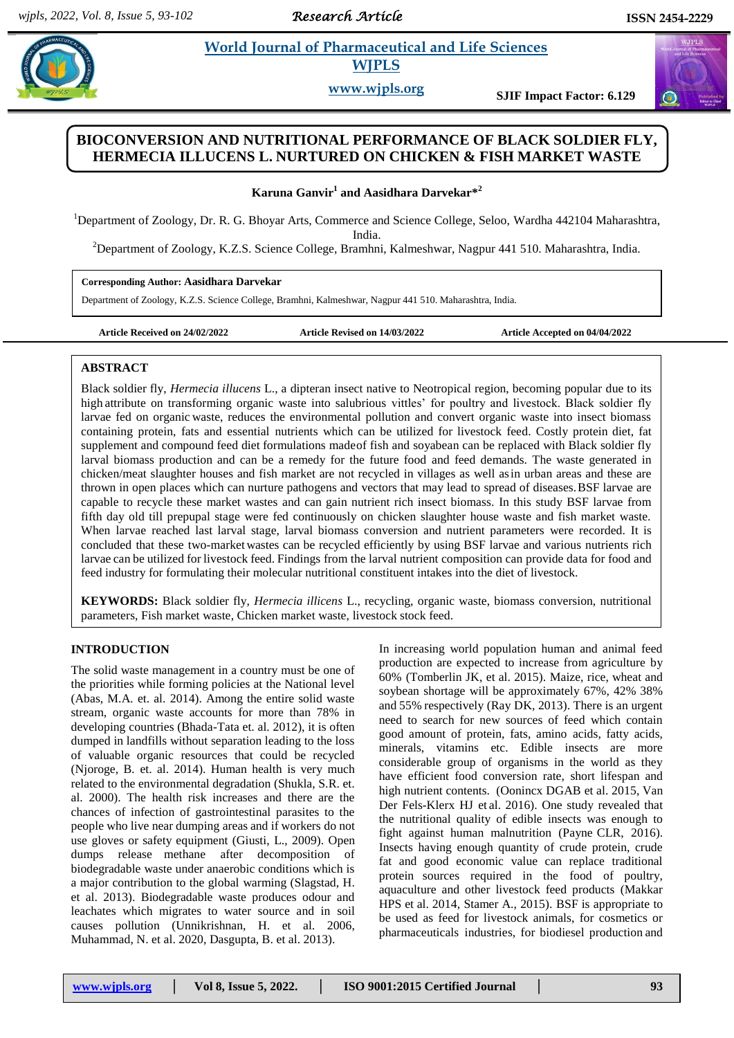*Research Article* 

#### **Karly 2.1 •** *World Journal of Pharmaceutical and Life Sciences* **<b>***respectively. All the Science is a set of the Science is a set of the Science is a set of the Science is a set of the Science is a set of the Science is a*  **World Journal of Pharmaceutical and Life Sciences WJPLS**

**www.wjpls.org SJIF Impact Factor: 6.129**

# **BIOCONVERSION AND NUTRITIONAL PERFORMANCE OF BLACK SOLDIER FLY, HERMECIA ILLUCENS L. NURTURED ON CHICKEN & FISH MARKET WASTE**

 $\bold{K}$ aruna  $\bold{Ganvir}^{1}$  and  $\bold{Aasidhara~Darvekar*}^{2}$ 

<sup>1</sup>Department of Zoology, Dr. R. G. Bhoyar Arts, Commerce and Science College, Seloo, Wardha 442104 Maharashtra,

India.

<sup>2</sup>Department of Zoology, K.Z.S. Science College, Bramhni, Kalmeshwar, Nagpur 441 510. Maharashtra, India.

### **Corresponding Author: Aasidhara Darvekar**

Department of Zoology, K.Z.S. Science College, Bramhni, Kalmeshwar, Nagpur 441 510. Maharashtra, India.

**Article Received on 24/02/2022 Article Revised on 14/03/2022 Article Accepted on 04/04/2022**

## **ABSTRACT**

Black soldier fly, *Hermecia illucens* L., a dipteran insect native to Neotropical region, becoming popular due to its high attribute on transforming organic waste into salubrious vittles' for poultry and livestock. Black soldier fly larvae fed on organic waste, reduces the environmental pollution and convert organic waste into insect biomass containing protein, fats and essential nutrients which can be utilized for livestock feed. Costly protein diet, fat supplement and compound feed diet formulations madeof fish and soyabean can be replaced with Black soldier fly larval biomass production and can be a remedy for the future food and feed demands. The waste generated in chicken/meat slaughter houses and fish market are not recycled in villages as well asin urban areas and these are thrown in open places which can nurture pathogens and vectors that may lead to spread of diseases.BSF larvae are capable to recycle these market wastes and can gain nutrient rich insect biomass. In this study BSF larvae from fifth day old till prepupal stage were fed continuously on chicken slaughter house waste and fish market waste. When larvae reached last larval stage, larval biomass conversion and nutrient parameters were recorded. It is concluded that these two-market wastes can be recycled efficiently by using BSF larvae and various nutrients rich larvae can be utilized for livestock feed. Findings from the larval nutrient composition can provide data for food and feed industry for formulating their molecular nutritional constituent intakes into the diet of livestock.

**KEYWORDS:** Black soldier fly, *Hermecia illicens* L., recycling, organic waste, biomass conversion, nutritional parameters, Fish market waste, Chicken market waste, livestock stock feed.

## **INTRODUCTION**

The solid waste management in a country must be one of the priorities while forming policies at the National level (Abas, M.A*.* et. al. 2014). Among the entire solid waste stream, organic waste accounts for more than 78% in developing countries (Bhada-Tata et. al. 2012), it is often dumped in landfills without separation leading to the loss of valuable organic resources that could be recycled (Njoroge, B*.* et. al. 2014). Human health is very much related to the environmental degradation (Shukla, S.R. et. al. 2000). The health risk increases and there are the chances of infection of gastrointestinal parasites to the people who live near dumping areas and if workers do not use gloves or safety equipment (Giusti, L., 2009). Open dumps release methane after decomposition of biodegradable waste under anaerobic conditions which is a major contribution to the global warming (Slagstad, H. et al. 2013). Biodegradable waste produces odour and leachates which migrates to water source and in soil causes pollution (Unnikrishnan, H. et al. 2006, Muhammad, N. et al. 2020, Dasgupta, B. et al. 2013).

In increasing world population human and animal feed production are expected to increase from agriculture by 60% (Tomberlin JK, et al. 2015). Maize, rice, wheat and soybean shortage will be approximately 67%, 42% 38% and 55% respectively (Ray DK, 2013). There is an urgent need to search for new sources of feed which contain good amount of protein, fats, amino acids, fatty acids, minerals, vitamins etc. Edible insects are more considerable group of organisms in the world as they have efficient food conversion rate, short lifespan and high nutrient contents. (Oonincx DGAB et al. 2015, Van Der Fels-Klerx HJ et al. 2016). One study revealed that the nutritional quality of edible insects was enough to fight against human malnutrition (Payne CLR, 2016). Insects having enough quantity of crude protein, crude fat and good economic value can replace traditional protein sources required in the food of poultry, aquaculture and other livestock feed products (Makkar HPS et al. 2014, Stamer A., 2015). BSF is appropriate to be used as feed for livestock animals, for cosmetics or pharmaceuticals industries, for biodiesel production and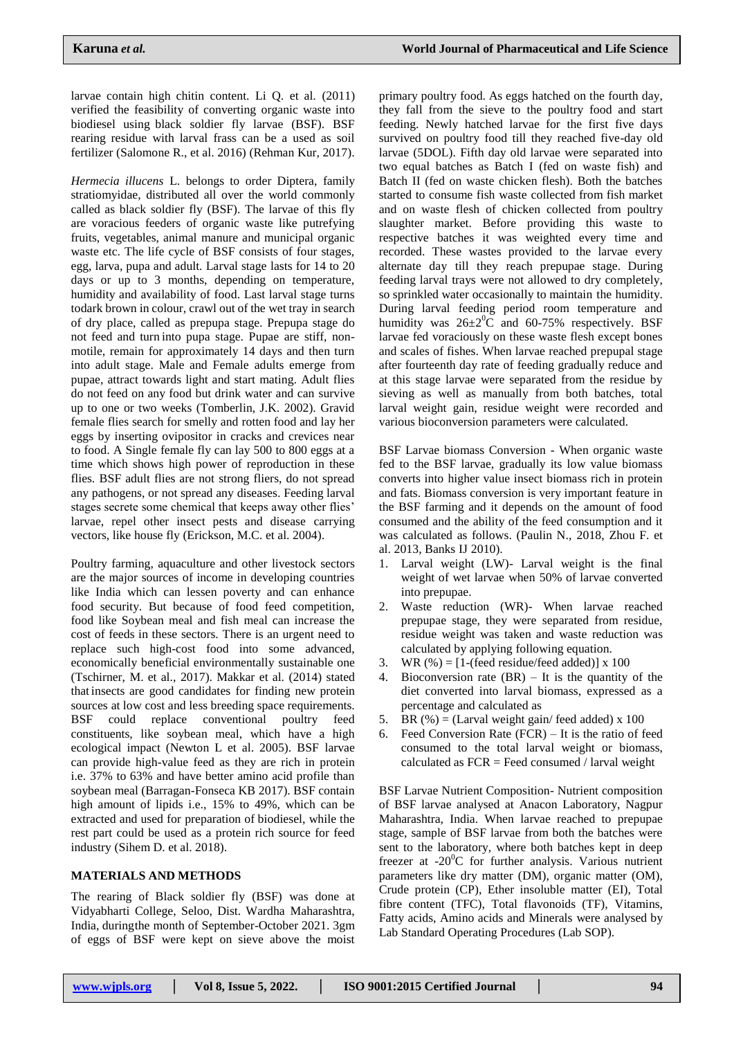larvae contain high chitin content. Li Q. et al. (2011) verified the feasibility of converting organic waste into biodiesel using black soldier fly larvae (BSF). BSF rearing residue with larval frass can be a used as soil fertilizer (Salomone R., et al. 2016) (Rehman Kur, 2017).

*Hermecia illucens* L. belongs to order Diptera, family stratiomyidae, distributed all over the world commonly called as black soldier fly (BSF). The larvae of this fly are voracious feeders of organic waste like putrefying fruits, vegetables, animal manure and municipal organic waste etc. The life cycle of BSF consists of four stages, egg, larva, pupa and adult. Larval stage lasts for 14 to 20 days or up to 3 months, depending on temperature, humidity and availability of food. Last larval stage turns todark brown in colour, crawl out of the wet tray in search of dry place, called as prepupa stage. Prepupa stage do not feed and turn into pupa stage. Pupae are stiff, nonmotile, remain for approximately 14 days and then turn into adult stage. Male and Female adults emerge from pupae, attract towards light and start mating. Adult flies do not feed on any food but drink water and can survive up to one or two weeks (Tomberlin, J.K. 2002). Gravid female flies search for smelly and rotten food and lay her eggs by inserting ovipositor in cracks and crevices near to food. A Single female fly can lay 500 to 800 eggs at a time which shows high power of reproduction in these flies. BSF adult flies are not strong fliers, do not spread any pathogens, or not spread any diseases. Feeding larval stages secrete some chemical that keeps away other flies' larvae, repel other insect pests and disease carrying vectors, like house fly (Erickson, M.C. et al. 2004).

Poultry farming, aquaculture and other livestock sectors are the major sources of income in developing countries like India which can lessen poverty and can enhance food security. But because of food feed competition, food like Soybean meal and fish meal can increase the cost of feeds in these sectors. There is an urgent need to replace such high-cost food into some advanced, economically beneficial environmentally sustainable one (Tschirner, M. et al., 2017). Makkar et al. (2014) stated that insects are good candidates for finding new protein sources at low cost and less breeding space requirements. BSF could replace conventional poultry feed constituents, like soybean meal, which have a high ecological impact (Newton L et al. 2005). BSF larvae can provide high-value feed as they are rich in protein i.e. 37% to 63% and have better amino acid profile than soybean meal (Barragan-Fonseca KB 2017). BSF contain high amount of lipids i.e., 15% to 49%, which can be extracted and used for preparation of biodiesel, while the rest part could be used as a protein rich source for feed industry (Sihem D. et al. 2018).

## **MATERIALS AND METHODS**

The rearing of Black soldier fly (BSF) was done at Vidyabharti College, Seloo, Dist. Wardha Maharashtra, India, duringthe month of September-October 2021. 3gm of eggs of BSF were kept on sieve above the moist primary poultry food. As eggs hatched on the fourth day, they fall from the sieve to the poultry food and start feeding. Newly hatched larvae for the first five days survived on poultry food till they reached five-day old larvae (5DOL). Fifth day old larvae were separated into two equal batches as Batch I (fed on waste fish) and Batch II (fed on waste chicken flesh). Both the batches started to consume fish waste collected from fish market and on waste flesh of chicken collected from poultry slaughter market. Before providing this waste to respective batches it was weighted every time and recorded. These wastes provided to the larvae every alternate day till they reach prepupae stage. During feeding larval trays were not allowed to dry completely, so sprinkled water occasionally to maintain the humidity. During larval feeding period room temperature and humidity was  $26\pm2\degree C$  and 60-75% respectively. BSF larvae fed voraciously on these waste flesh except bones and scales of fishes. When larvae reached prepupal stage after fourteenth day rate of feeding gradually reduce and at this stage larvae were separated from the residue by sieving as well as manually from both batches, total larval weight gain, residue weight were recorded and various bioconversion parameters were calculated.

BSF Larvae biomass Conversion - When organic waste fed to the BSF larvae, gradually its low value biomass converts into higher value insect biomass rich in protein and fats. Biomass conversion is very important feature in the BSF farming and it depends on the amount of food consumed and the ability of the feed consumption and it was calculated as follows. (Paulin N., 2018, Zhou F. et al. 2013, Banks IJ 2010).

- 1. Larval weight (LW)- Larval weight is the final weight of wet larvae when 50% of larvae converted into prepupae.
- 2. Waste reduction (WR)- When larvae reached prepupae stage, they were separated from residue, residue weight was taken and waste reduction was calculated by applying following equation.
- 3. WR  $(\%) = [1-(\text{feed residue/feed added})] \times 100$
- 4. Bioconversion rate  $(BR)$  It is the quantity of the diet converted into larval biomass, expressed as a percentage and calculated as
- 5. BR  $(\%)$  = (Larval weight gain/ feed added) x 100
- 6. Feed Conversion Rate  $(FCR)$  It is the ratio of feed consumed to the total larval weight or biomass, calculated as FCR = Feed consumed / larval weight

BSF Larvae Nutrient Composition- Nutrient composition of BSF larvae analysed at Anacon Laboratory, Nagpur Maharashtra, India. When larvae reached to prepupae stage, sample of BSF larvae from both the batches were sent to the laboratory, where both batches kept in deep freezer at  $-20^{\circ}$ C for further analysis. Various nutrient parameters like dry matter (DM), organic matter (OM), Crude protein (CP), Ether insoluble matter (EI), Total fibre content (TFC), Total flavonoids (TF), Vitamins, Fatty acids, Amino acids and Minerals were analysed by Lab Standard Operating Procedures (Lab SOP).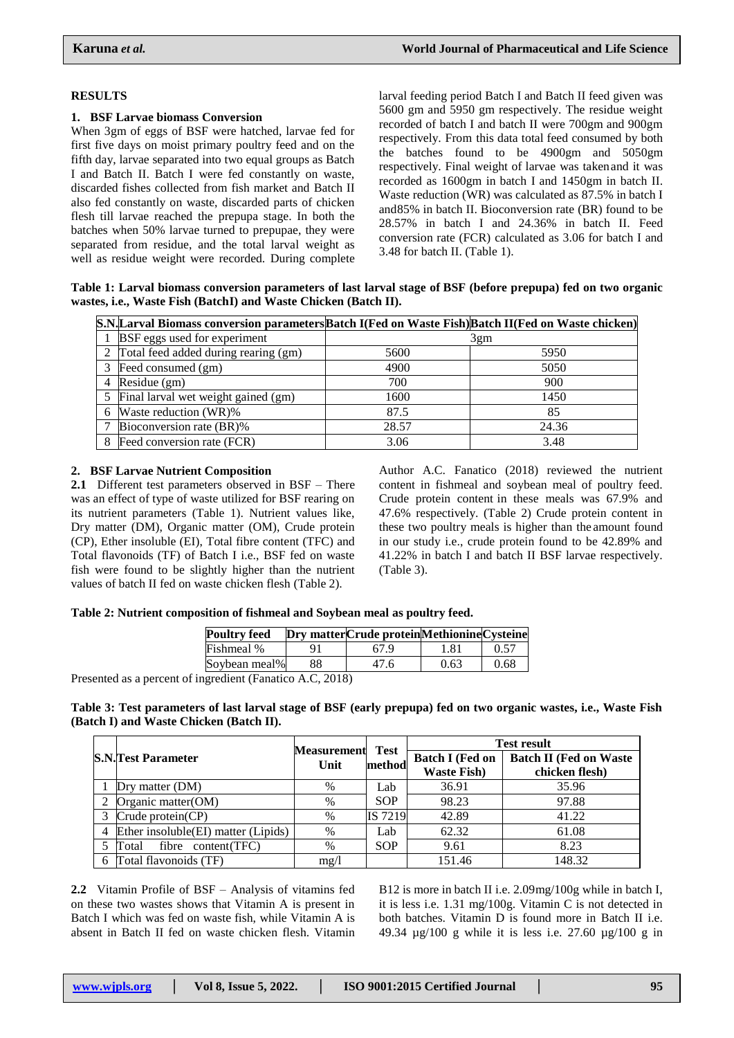### **RESULTS**

#### **1. BSF Larvae biomass Conversion**

When 3gm of eggs of BSF were hatched, larvae fed for first five days on moist primary poultry feed and on the fifth day, larvae separated into two equal groups as Batch I and Batch II. Batch I were fed constantly on waste, discarded fishes collected from fish market and Batch II also fed constantly on waste, discarded parts of chicken flesh till larvae reached the prepupa stage. In both the batches when 50% larvae turned to prepupae, they were separated from residue, and the total larval weight as well as residue weight were recorded. During complete larval feeding period Batch I and Batch II feed given was 5600 gm and 5950 gm respectively. The residue weight recorded of batch I and batch II were 700gm and 900gm respectively. From this data total feed consumed by both the batches found to be 4900gm and 5050gm respectively. Final weight of larvae was takenand it was recorded as 1600gm in batch I and 1450gm in batch II. Waste reduction (WR) was calculated as 87.5% in batch I and85% in batch II. Bioconversion rate (BR) found to be 28.57% in batch I and 24.36% in batch II. Feed conversion rate (FCR) calculated as 3.06 for batch I and 3.48 for batch II. (Table 1).

**Table 1: Larval biomass conversion parameters of last larval stage of BSF (before prepupa) fed on two organic wastes, i.e., Waste Fish (BatchI) and Waste Chicken (Batch II).**

| [S.N. Larval Biomass conversion parameters Batch I (Fed on Waste Fish) Batch II (Fed on Waste chicken) |       |       |
|--------------------------------------------------------------------------------------------------------|-------|-------|
| 1 BSF eggs used for experiment                                                                         |       | 3gm   |
| 2 Total feed added during rearing (gm)                                                                 | 5600  | 5950  |
| 3 Feed consumed (gm)                                                                                   | 4900  | 5050  |
| 4 Residue $(gm)$                                                                                       | 700   | 900   |
| 5 Final larval wet weight gained (gm)                                                                  | 1600  | 1450  |
| 6 Waste reduction (WR)%                                                                                | 87.5  | 85    |
| Bioconversion rate (BR)%                                                                               | 28.57 | 24.36 |
| 8 Feed conversion rate (FCR)                                                                           | 3.06  | 3.48  |

#### **2. BSF Larvae Nutrient Composition**

**2.1** Different test parameters observed in BSF – There was an effect of type of waste utilized for BSF rearing on its nutrient parameters (Table 1). Nutrient values like, Dry matter (DM), Organic matter (OM), Crude protein (CP), Ether insoluble (EI), Total fibre content (TFC) and Total flavonoids (TF) of Batch I i.e., BSF fed on waste fish were found to be slightly higher than the nutrient values of batch II fed on waste chicken flesh (Table 2).

Author A.C. Fanatico (2018) reviewed the nutrient content in fishmeal and soybean meal of poultry feed. Crude protein content in these meals was 67.9% and 47.6% respectively. (Table 2) Crude protein content in these two poultry meals is higher than the amount found in our study i.e., crude protein found to be 42.89% and 41.22% in batch I and batch II BSF larvae respectively. (Table 3).

#### **Table 2: Nutrient composition of fishmeal and Soybean meal as poultry feed.**

|                     | 67 9 | 1.81 | 0.57                                         |
|---------------------|------|------|----------------------------------------------|
| Soybean meal%<br>88 | 47.6 | 0.63 | 0.68                                         |
|                     |      |      | Dry matter Crude protein Methionine Cysteine |

Presented as a percent of ingredient (Fanatico A.C, 2018)

**Table 3: Test parameters of last larval stage of BSF (early prepupa) fed on two organic wastes, i.e., Waste Fish (Batch I) and Waste Chicken (Batch II).**

|                                       | <b>Measurement</b> | <b>Test</b> | <b>Test result</b>                            |                                                 |  |
|---------------------------------------|--------------------|-------------|-----------------------------------------------|-------------------------------------------------|--|
| <b>S.N.Test Parameter</b>             | Unit               | method      | <b>Batch I (Fed on</b><br><b>Waste Fish</b> ) | <b>Batch II (Fed on Waste</b><br>chicken flesh) |  |
| Dry matter (DM)                       | $\%$               | Lab         | 36.91                                         | 35.96                                           |  |
| 2 Organic matter $(OM)$               | $\%$               | <b>SOP</b>  | 98.23                                         | 97.88                                           |  |
| 3 Crude protein(CP)                   | $\%$               | IS 7219     | 42.89                                         | 41.22                                           |  |
| 4 Ether insoluble(EI) matter (Lipids) | %                  | Lab         | 62.32                                         | 61.08                                           |  |
| 5 Total<br>fibre content(TFC)         | $\%$               | <b>SOP</b>  | 9.61                                          | 8.23                                            |  |
| 6 Total flavonoids (TF)               | mg/1               |             | 151.46                                        | 148.32                                          |  |

**2.2** Vitamin Profile of BSF – Analysis of vitamins fed on these two wastes shows that Vitamin A is present in Batch I which was fed on waste fish, while Vitamin A is absent in Batch II fed on waste chicken flesh. Vitamin

B12 is more in batch II i.e. 2.09mg/100g while in batch I, it is less i.e. 1.31 mg/100g. Vitamin C is not detected in both batches. Vitamin D is found more in Batch II i.e. 49.34 µg/100 g while it is less i.e. 27.60 µg/100 g in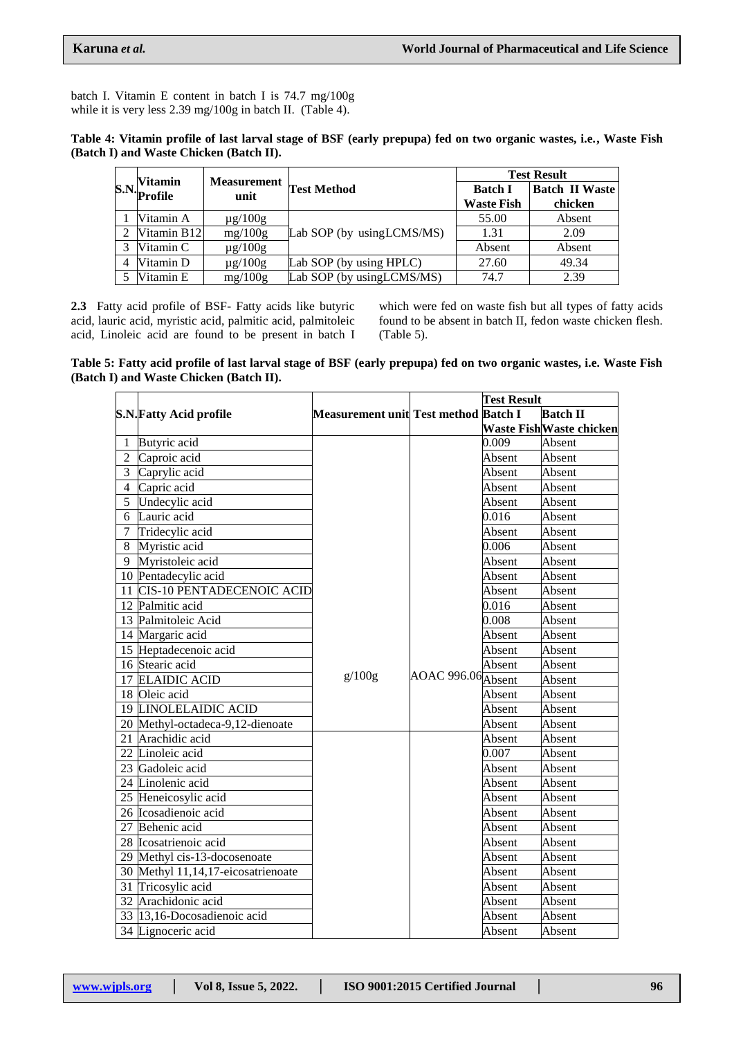batch I. Vitamin E content in batch I is 74.7 mg/100g while it is very less 2.39 mg/100g in batch II. (Table 4).

| Table 4: Vitamin profile of last larval stage of BSF (early prepupa) fed on two organic wastes, i.e., Waste Fish |  |  |  |
|------------------------------------------------------------------------------------------------------------------|--|--|--|
| (Batch I) and Waste Chicken (Batch II).                                                                          |  |  |  |

|  | <b>Vitamin</b> | <b>Measurement</b><br>unit |                            | <b>Test Result</b> |                       |  |
|--|----------------|----------------------------|----------------------------|--------------------|-----------------------|--|
|  | S.N. Profile   |                            | <b>Test Method</b>         | <b>Batch I</b>     | <b>Batch II Waste</b> |  |
|  |                |                            |                            | <b>Waste Fish</b>  | chicken               |  |
|  | Vitamin A      | $\mu$ g/100g               |                            | 55.00              | Absent                |  |
|  | Vitamin B12    | mg/100g                    | Lab SOP (by usingLCMS/MS)  | 1.31               | 2.09                  |  |
|  | Vitamin C      | $\mu$ g/100g               |                            | Absent             | Absent                |  |
|  | Vitamin D      | $\mu$ g/100g               | Lab SOP (by using HPLC)    | 27.60              | 49.34                 |  |
|  | Vitamin E      | mg/100g                    | Lab SOP (by using LCMS/MS) | 74.7               | 2.39                  |  |

**2.3** Fatty acid profile of BSF- Fatty acids like butyric acid, lauric acid, myristic acid, palmitic acid, palmitoleic acid, Linoleic acid are found to be present in batch I which were fed on waste fish but all types of fatty acids found to be absent in batch II, fedon waste chicken flesh. (Table 5).

**Table 5: Fatty acid profile of last larval stage of BSF (early prepupa) fed on two organic wastes, i.e. Waste Fish (Batch I) and Waste Chicken (Batch II).**

|                |                                    |                                      |                    | <b>Test Result</b> |                         |
|----------------|------------------------------------|--------------------------------------|--------------------|--------------------|-------------------------|
|                | <b>S.N. Fatty Acid profile</b>     | Measurement unit Test method Batch I |                    |                    | <b>Batch II</b>         |
|                |                                    |                                      |                    |                    | Waste FishWaste chicken |
| 1              | Butyric acid                       |                                      |                    | 0.009              | Absent                  |
| $\overline{2}$ | Caproic acid                       |                                      |                    | Absent             | Absent                  |
| $\overline{3}$ | Caprylic acid                      |                                      |                    | Absent             | Absent                  |
| $\overline{4}$ | Capric acid                        |                                      |                    | Absent             | Absent                  |
| 5              | Undecylic acid                     |                                      |                    | Absent             | Absent                  |
| 6              | Lauric acid                        |                                      |                    | 0.016              | Absent                  |
| 7              | Tridecylic acid                    |                                      |                    | Absent             | Absent                  |
| 8              | Myristic acid                      |                                      |                    | 0.006              | Absent                  |
|                | 9 Myristoleic acid                 |                                      |                    | Absent             | Absent                  |
|                | 10 Pentadecylic acid               |                                      |                    | Absent             | Absent                  |
|                | 11 CIS-10 PENTADECENOIC ACID       |                                      |                    | Absent             | Absent                  |
|                | 12 Palmitic acid                   |                                      |                    | 0.016              | Absent                  |
|                | 13 Palmitoleic Acid                |                                      |                    | 0.008              | Absent                  |
|                | 14 Margaric acid                   |                                      |                    | Absent             | Absent                  |
|                | 15 Heptadecenoic acid              |                                      |                    | Absent             | Absent                  |
|                | 16 Stearic acid                    |                                      |                    | Absent             | Absent                  |
|                | 17 ELAIDIC ACID                    | g/100g                               | AOAC 996.06 Absent |                    | Absent                  |
|                | 18 Oleic acid                      |                                      |                    | Absent             | Absent                  |
|                | <b>19 LINOLELAIDIC ACID</b>        |                                      |                    | Absent             | Absent                  |
|                | 20 Methyl-octadeca-9,12-dienoate   |                                      |                    | Absent             | Absent                  |
|                | 21 Arachidic acid                  |                                      |                    | Absent             | Absent                  |
|                | 22 Linoleic acid                   |                                      |                    | 0.007              | Absent                  |
|                | 23 Gadoleic acid                   |                                      |                    | Absent             | Absent                  |
|                | 24 Linolenic acid                  |                                      |                    | Absent             | Absent                  |
|                | 25 Heneicosylic acid               |                                      |                    | Absent             | Absent                  |
|                | 26 Icosadienoic acid               |                                      |                    | Absent             | Absent                  |
|                | 27 Behenic acid                    |                                      |                    | Absent             | Absent                  |
|                | 28 Icosatrienoic acid              |                                      |                    | Absent             | Absent                  |
|                | 29 Methyl cis-13-docosenoate       |                                      |                    | Absent             | Absent                  |
|                | 30 Methyl 11,14,17-eicosatrienoate |                                      |                    | Absent             | Absent                  |
|                | 31 Tricosylic acid                 |                                      |                    | Absent             | Absent                  |
|                | 32 Arachidonic acid                |                                      |                    | Absent             | Absent                  |
|                | 33 13,16-Docosadienoic acid        |                                      |                    | Absent             | Absent                  |
|                | 34 Lignoceric acid                 |                                      |                    | Absent             | Absent                  |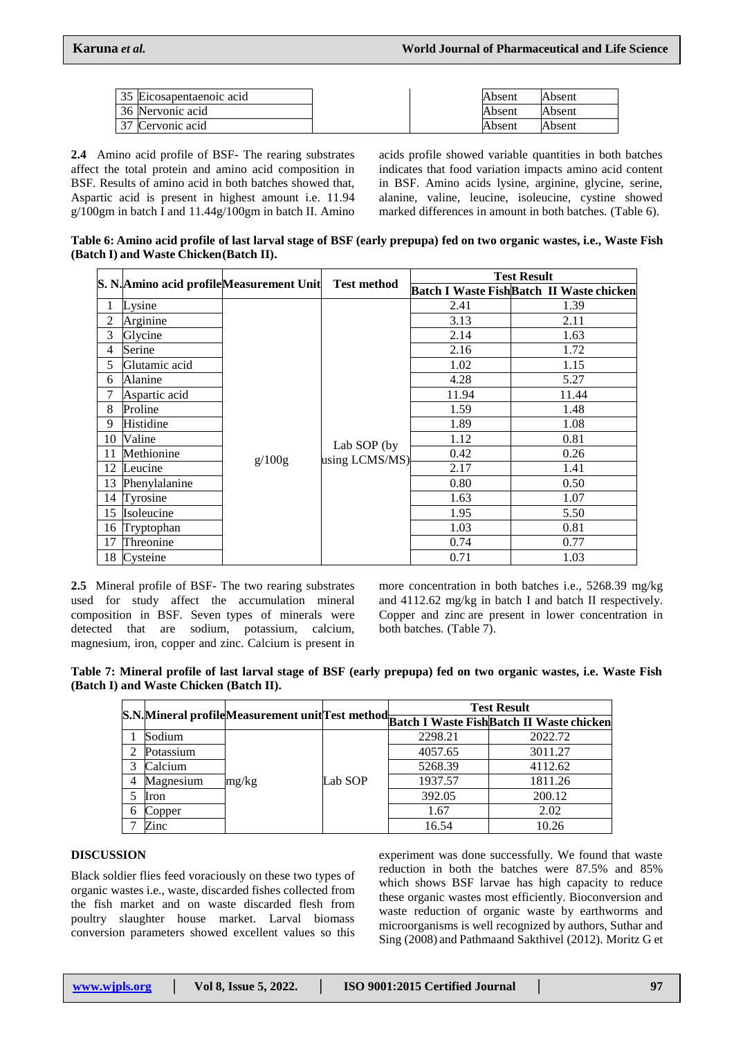|     | 35 Eicosapentaenoic acid |  | Absent | Absent |
|-----|--------------------------|--|--------|--------|
|     | 36 Nervonic acid         |  | Absent | Absent |
| 127 | Cervonic acid            |  | Absent | Absent |

**2.4** Amino acid profile of BSF- The rearing substrates affect the total protein and amino acid composition in BSF. Results of amino acid in both batches showed that, Aspartic acid is present in highest amount i.e. 11.94 g/100gm in batch I and 11.44g/100gm in batch II. Amino

acids profile showed variable quantities in both batches indicates that food variation impacts amino acid content in BSF. Amino acids lysine, arginine, glycine, serine, alanine, valine, leucine, isoleucine, cystine showed marked differences in amount in both batches. (Table 6).

Table 6: Amino acid profile of last larval stage of BSF (early prepupa) fed on two organic wastes, i.e., Waste Fish **(Batch I) and Waste Chicken(Batch II).**

|    | S. N. Amino acid profile Measurement Unit Test method |        |                               | <b>Test Result</b> |                                                 |  |
|----|-------------------------------------------------------|--------|-------------------------------|--------------------|-------------------------------------------------|--|
|    |                                                       |        |                               |                    | <b>Batch I Waste FishBatch II Waste chicken</b> |  |
|    | Lysine                                                |        |                               | 2.41               | 1.39                                            |  |
| 2  | Arginine                                              |        |                               | 3.13               | 2.11                                            |  |
| 3  | Glycine                                               |        | Lab SOP (by<br>using LCMS/MS) | 2.14               | 1.63                                            |  |
| 4  | Serine                                                |        |                               | 2.16               | 1.72                                            |  |
| 5  | Glutamic acid                                         |        |                               | 1.02               | 1.15                                            |  |
| 6  | Alanine                                               |        |                               | 4.28               | 5.27                                            |  |
| 7  | Aspartic acid                                         |        |                               | 11.94              | 11.44                                           |  |
| 8  | Proline                                               |        |                               | 1.59               | 1.48                                            |  |
| 9  | Histidine                                             |        |                               | 1.89               | 1.08                                            |  |
| 10 | Valine                                                |        |                               | 1.12               | 0.81                                            |  |
| 11 | Methionine                                            | g/100g |                               | 0.42               | 0.26                                            |  |
| 12 | Leucine                                               |        |                               | 2.17               | 1.41                                            |  |
| 13 | Phenylalanine                                         |        |                               | 0.80               | 0.50                                            |  |
| 14 | Tyrosine                                              |        |                               | 1.63               | 1.07                                            |  |
| 15 | Isoleucine                                            |        |                               | 1.95               | 5.50                                            |  |
|    | 16 Tryptophan                                         |        |                               | 1.03               | 0.81                                            |  |
| 17 | Threonine                                             |        |                               | 0.74               | 0.77                                            |  |
|    | 18 Cysteine                                           |        |                               | 0.71               | 1.03                                            |  |

**2.5** Mineral profile of BSF- The two rearing substrates used for study affect the accumulation mineral composition in BSF. Seven types of minerals were detected that are sodium, potassium, calcium, magnesium, iron, copper and zinc. Calcium is present in

more concentration in both batches i.e., 5268.39 mg/kg and 4112.62 mg/kg in batch I and batch II respectively. Copper and zinc are present in lower concentration in both batches. (Table 7).

**Table 7: Mineral profile of last larval stage of BSF (early prepupa) fed on two organic wastes, i.e. Waste Fish (Batch I) and Waste Chicken (Batch II).**

|   |           |       |         | <b>Test Result</b><br>S.N. Mineral profile Measurement unit Test method Batch I Waste Fish Batch II Waste chicken |         |  |
|---|-----------|-------|---------|-------------------------------------------------------------------------------------------------------------------|---------|--|
|   |           |       |         |                                                                                                                   |         |  |
|   | Sodium    |       |         | 2298.21                                                                                                           | 2022.72 |  |
| 2 | Potassium | mg/kg |         | 4057.65                                                                                                           | 3011.27 |  |
| 3 | Calcium   |       | Lab SOP | 5268.39                                                                                                           | 4112.62 |  |
| 4 | Magnesium |       |         | 1937.57                                                                                                           | 1811.26 |  |
|   | Iron      |       |         | 392.05                                                                                                            | 200.12  |  |
| 6 | Copper    |       |         | 1.67                                                                                                              | 2.02    |  |
|   | Zinc      |       |         | 16.54                                                                                                             | 10.26   |  |

### **DISCUSSION**

Black soldier flies feed voraciously on these two types of organic wastes i.e., waste, discarded fishes collected from the fish market and on waste discarded flesh from poultry slaughter house market. Larval biomass conversion parameters showed excellent values so this

experiment was done successfully. We found that waste reduction in both the batches were 87.5% and 85% which shows BSF larvae has high capacity to reduce these organic wastes most efficiently. Bioconversion and waste reduction of organic waste by earthworms and microorganisms is well recognized by authors, Suthar and Sing (2008) and Pathmaand Sakthivel (2012). Moritz G et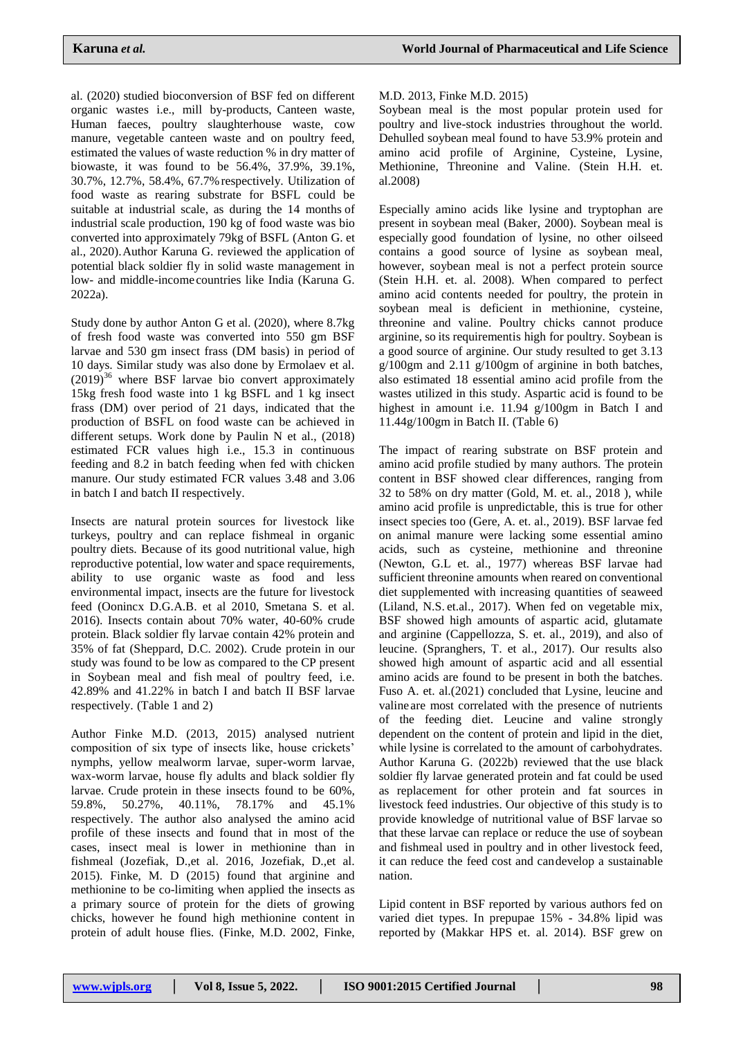al. (2020) studied bioconversion of BSF fed on different organic wastes i.e., mill by-products, Canteen waste, Human faeces, poultry slaughterhouse waste, cow manure, vegetable canteen waste and on poultry feed, estimated the values of waste reduction % in dry matter of biowaste, it was found to be 56.4%, 37.9%, 39.1%, 30.7%, 12.7%, 58.4%, 67.7%respectively. Utilization of food waste as rearing substrate for BSFL could be suitable at industrial scale, as during the 14 months of industrial scale production, 190 kg of food waste was bio converted into approximately 79kg of BSFL (Anton G. et al., 2020).Author Karuna G. reviewed the application of potential black soldier fly in solid waste management in low- and middle-income countries like India (Karuna G. 2022a).

Study done by author Anton G et al. (2020), where 8.7kg of fresh food waste was converted into 550 gm BSF larvae and 530 gm insect frass (DM basis) in period of 10 days. Similar study was also done by Ermolaev et al.  $(2019)^{36}$  where BSF larvae bio convert approximately 15kg fresh food waste into 1 kg BSFL and 1 kg insect frass (DM) over period of 21 days, indicated that the production of BSFL on food waste can be achieved in different setups. Work done by Paulin N et al., (2018) estimated FCR values high i.e., 15.3 in continuous feeding and 8.2 in batch feeding when fed with chicken manure. Our study estimated FCR values 3.48 and 3.06 in batch I and batch II respectively.

Insects are natural protein sources for livestock like turkeys, poultry and can replace fishmeal in organic poultry diets. Because of its good nutritional value, high reproductive potential, low water and space requirements, ability to use organic waste as food and less environmental impact, insects are the future for livestock feed (Oonincx D.G.A.B. et al 2010, Smetana S. et al. 2016). Insects contain about 70% water, 40-60% crude protein. Black soldier fly larvae contain 42% protein and 35% of fat (Sheppard, D.C. 2002). Crude protein in our study was found to be low as compared to the CP present in Soybean meal and fish meal of poultry feed, i.e. 42.89% and 41.22% in batch I and batch II BSF larvae respectively. (Table 1 and 2)

Author Finke M.D. (2013, 2015) analysed nutrient composition of six type of insects like, house crickets' nymphs, yellow mealworm larvae, super-worm larvae, wax-worm larvae, house fly adults and black soldier fly larvae. Crude protein in these insects found to be 60%, 59.8%, 50.27%, 40.11%, 78.17% and 45.1% respectively. The author also analysed the amino acid profile of these insects and found that in most of the cases, insect meal is lower in methionine than in fishmeal (Jozefiak, D.,et al. 2016, Jozefiak, D.,et al. 2015). Finke, M. D (2015) found that arginine and methionine to be co-limiting when applied the insects as a primary source of protein for the diets of growing chicks, however he found high methionine content in protein of adult house flies. (Finke, M.D. 2002, Finke,

### M.D. 2013, Finke M.D. 2015)

Soybean meal is the most popular protein used for poultry and live-stock industries throughout the world. Dehulled soybean meal found to have 53.9% protein and amino acid profile of Arginine, Cysteine, Lysine, Methionine, Threonine and Valine. (Stein H.H. et. al.2008)

Especially amino acids like lysine and tryptophan are present in soybean meal (Baker, 2000). Soybean meal is especially good foundation of lysine, no other oilseed contains a good source of lysine as soybean meal, however, soybean meal is not a perfect protein source (Stein H.H. et. al. 2008). When compared to perfect amino acid contents needed for poultry, the protein in soybean meal is deficient in methionine, cysteine, threonine and valine. Poultry chicks cannot produce arginine, so its requirementis high for poultry. Soybean is a good source of arginine. Our study resulted to get 3.13 g/100gm and 2.11 g/100gm of arginine in both batches, also estimated 18 essential amino acid profile from the wastes utilized in this study. Aspartic acid is found to be highest in amount i.e. 11.94 g/100gm in Batch I and 11.44g/100gm in Batch II. (Table 6)

The impact of rearing substrate on BSF protein and amino acid profile studied by many authors. The protein content in BSF showed clear differences, ranging from 32 to 58% on dry matter (Gold, M. et. al., 2018 ), while amino acid profile is unpredictable, this is true for other insect species too (Gere, A. et. al., 2019). BSF larvae fed on animal manure were lacking some essential amino acids, such as cysteine, methionine and threonine (Newton, G.L et. al., 1977) whereas BSF larvae had sufficient threonine amounts when reared on conventional diet supplemented with increasing quantities of seaweed (Liland, N.S. et.al., 2017). When fed on vegetable mix, BSF showed high amounts of aspartic acid, glutamate and arginine (Cappellozza, S. et. al., 2019), and also of leucine. (Spranghers, T. et al., 2017). Our results also showed high amount of aspartic acid and all essential amino acids are found to be present in both the batches. Fuso A. et. al.(2021) concluded that Lysine, leucine and valine are most correlated with the presence of nutrients of the feeding diet. Leucine and valine strongly dependent on the content of protein and lipid in the diet, while lysine is correlated to the amount of carbohydrates. Author Karuna G. (2022b) reviewed that the use black soldier fly larvae generated protein and fat could be used as replacement for other protein and fat sources in livestock feed industries. Our objective of this study is to provide knowledge of nutritional value of BSF larvae so that these larvae can replace or reduce the use of soybean and fishmeal used in poultry and in other livestock feed, it can reduce the feed cost and candevelop a sustainable nation.

Lipid content in BSF reported by various authors fed on varied diet types. In prepupae 15% - 34.8% lipid was reported by (Makkar HPS et. al. 2014). BSF grew on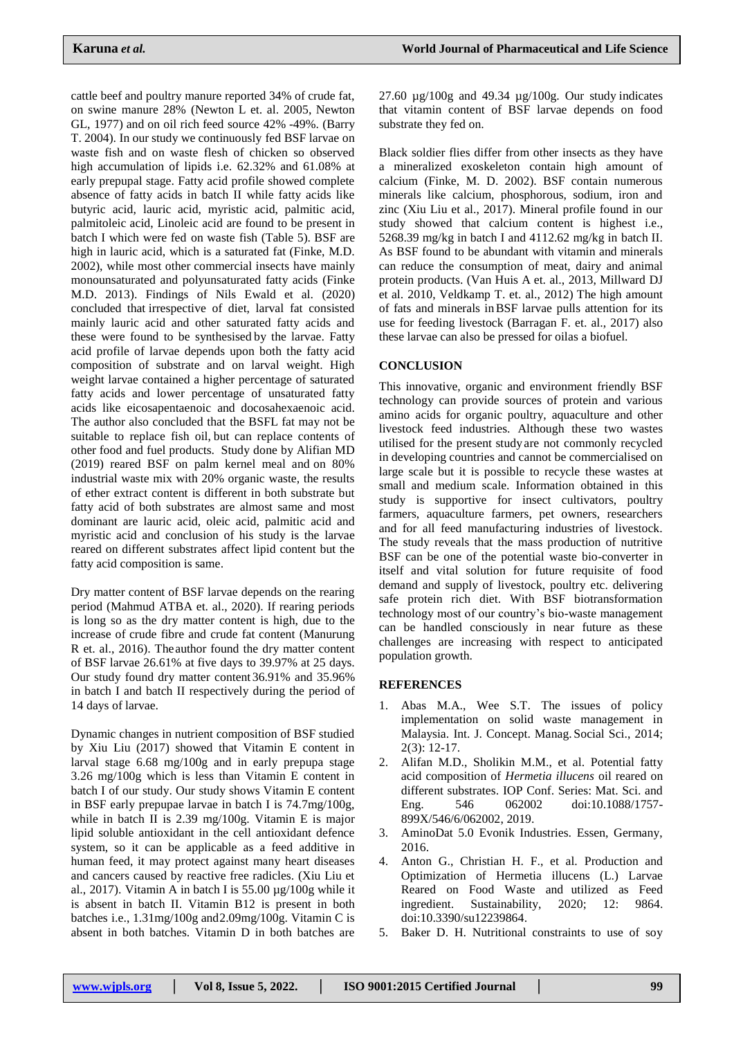cattle beef and poultry manure reported 34% of crude fat, on swine manure 28% (Newton L et. al. 2005, Newton GL, 1977) and on oil rich feed source 42% -49%. (Barry T. 2004). In our study we continuously fed BSF larvae on waste fish and on waste flesh of chicken so observed high accumulation of lipids i.e. 62.32% and 61.08% at early prepupal stage. Fatty acid profile showed complete absence of fatty acids in batch II while fatty acids like butyric acid, lauric acid, myristic acid, palmitic acid, palmitoleic acid, Linoleic acid are found to be present in batch I which were fed on waste fish (Table 5). BSF are high in lauric acid, which is a saturated fat (Finke, M.D. 2002), while most other commercial insects have mainly monounsaturated and polyunsaturated fatty acids (Finke M.D. 2013). Findings of Nils Ewald et al. (2020) concluded that irrespective of diet, larval fat consisted mainly lauric acid and other saturated fatty acids and these were found to be synthesised by the larvae. Fatty acid profile of larvae depends upon both the fatty acid composition of substrate and on larval weight. High weight larvae contained a higher percentage of saturated fatty acids and lower percentage of unsaturated fatty acids like eicosapentaenoic and docosahexaenoic acid. The author also concluded that the BSFL fat may not be suitable to replace fish oil, but can replace contents of other food and fuel products. Study done by Alifian MD (2019) reared BSF on palm kernel meal and on 80% industrial waste mix with 20% organic waste, the results of ether extract content is different in both substrate but fatty acid of both substrates are almost same and most dominant are lauric acid, oleic acid, palmitic acid and myristic acid and conclusion of his study is the larvae reared on different substrates affect lipid content but the fatty acid composition is same.

Dry matter content of BSF larvae depends on the rearing period (Mahmud ATBA et. al., 2020). If rearing periods is long so as the dry matter content is high, due to the increase of crude fibre and crude fat content (Manurung R et. al., 2016). Theauthor found the dry matter content of BSF larvae 26.61% at five days to 39.97% at 25 days. Our study found dry matter content 36.91% and 35.96% in batch I and batch II respectively during the period of 14 days of larvae.

Dynamic changes in nutrient composition of BSF studied by Xiu Liu (2017) showed that Vitamin E content in larval stage 6.68 mg/100g and in early prepupa stage 3.26 mg/100g which is less than Vitamin E content in batch I of our study. Our study shows Vitamin E content in BSF early prepupae larvae in batch I is 74.7mg/100g, while in batch II is 2.39 mg/100g. Vitamin E is major lipid soluble antioxidant in the cell antioxidant defence system, so it can be applicable as a feed additive in human feed, it may protect against many heart diseases and cancers caused by reactive free radicles. (Xiu Liu et al., 2017). Vitamin A in batch I is  $55.00 \mu g/100g$  while it is absent in batch II. Vitamin B12 is present in both batches i.e., 1.31mg/100g and2.09mg/100g. Vitamin C is absent in both batches. Vitamin D in both batches are

27.60 µg/100g and 49.34 µg/100g. Our study indicates that vitamin content of BSF larvae depends on food substrate they fed on.

Black soldier flies differ from other insects as they have a mineralized exoskeleton contain high amount of calcium (Finke, M. D. 2002). BSF contain numerous minerals like calcium, phosphorous, sodium, iron and zinc (Xiu Liu et al., 2017). Mineral profile found in our study showed that calcium content is highest i.e., 5268.39 mg/kg in batch I and 4112.62 mg/kg in batch II. As BSF found to be abundant with vitamin and minerals can reduce the consumption of meat, dairy and animal protein products. (Van Huis A et. al., 2013, Millward DJ et al. 2010, Veldkamp T. et. al., 2012) The high amount of fats and minerals inBSF larvae pulls attention for its use for feeding livestock (Barragan F. et. al., 2017) also these larvae can also be pressed for oilas a biofuel.

## **CONCLUSION**

This innovative, organic and environment friendly BSF technology can provide sources of protein and various amino acids for organic poultry, aquaculture and other livestock feed industries. Although these two wastes utilised for the present studyare not commonly recycled in developing countries and cannot be commercialised on large scale but it is possible to recycle these wastes at small and medium scale. Information obtained in this study is supportive for insect cultivators, poultry farmers, aquaculture farmers, pet owners, researchers and for all feed manufacturing industries of livestock. The study reveals that the mass production of nutritive BSF can be one of the potential waste bio-converter in itself and vital solution for future requisite of food demand and supply of livestock, poultry etc. delivering safe protein rich diet. With BSF biotransformation technology most of our country's bio-waste management can be handled consciously in near future as these challenges are increasing with respect to anticipated population growth.

## **REFERENCES**

- 1. Abas M.A., Wee S.T. The issues of policy implementation on solid waste management in Malaysia. Int. J. Concept. Manag. Social Sci., 2014; 2(3): 12-17.
- 2. Alifan M.D., Sholikin M.M., et al. Potential fatty acid composition of *Hermetia illucens* oil reared on different substrates. IOP Conf. Series: Mat. Sci. and Eng. 546 062002 doi:10.1088/1757- 899X/546/6/062002, 2019.
- 3. AminoDat 5.0 Evonik Industries. Essen, Germany, 2016.
- 4. Anton G., Christian H. F., et al. Production and Optimization of Hermetia illucens (L.) Larvae Reared on Food Waste and utilized as Feed ingredient. Sustainability, 2020; 12: 9864. doi:10.3390/su12239864.
- 5. Baker D. H. Nutritional constraints to use of soy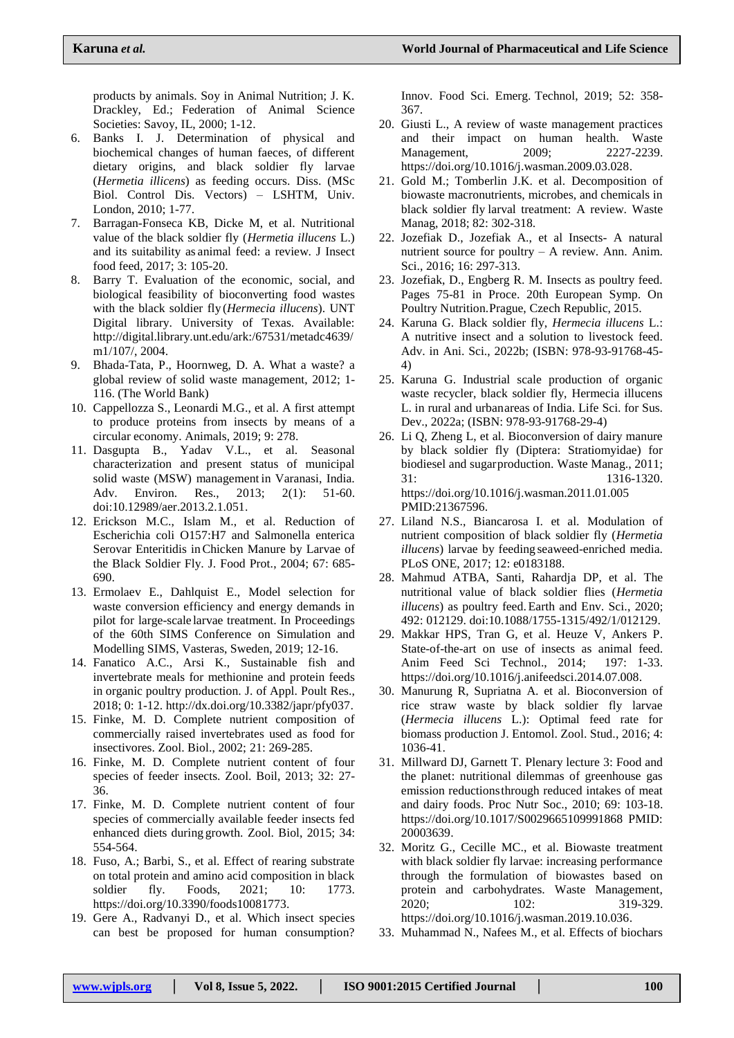products by animals. Soy in Animal Nutrition; J. K. Drackley, Ed.; Federation of Animal Science Societies: Savoy, IL, 2000; 1-12.

- 6. Banks I. J. Determination of physical and biochemical changes of human faeces, of different dietary origins, and black soldier fly larvae (*Hermetia illicens*) as feeding occurs. Diss. (MSc Biol. Control Dis. Vectors) – LSHTM, Univ. London, 2010; 1-77.
- 7. Barragan-Fonseca KB, Dicke M, et al. Nutritional value of the black soldier fly (*Hermetia illucens* L.) and its suitability as animal feed: a review. J Insect food feed, 2017; 3: 105-20.
- 8. Barry T. Evaluation of the economic, social, and biological feasibility of bioconverting food wastes with the black soldier fly (*Hermecia illucens*). UNT Digital library. University of Texas. Available: http://digital.library.unt.edu/ark:/67531/metadc4639/ m1/107/, 2004.
- 9. Bhada-Tata, P., Hoornweg, D. A. What a waste? a global review of solid waste management, 2012; 1- 116. (The World Bank)
- 10. Cappellozza S., Leonardi M.G., et al. A first attempt to produce proteins from insects by means of a circular economy. Animals, 2019; 9: 278.
- 11. Dasgupta B., Yadav V.L., et al. Seasonal characterization and present status of municipal solid waste (MSW) management in Varanasi, India. Adv. Environ. Res., 2013; 2(1): 51-60. doi:10.12989/aer.2013.2.1.051.
- 12. Erickson M.C., Islam M., et al. Reduction of Escherichia coli O157:H7 and Salmonella enterica Serovar Enteritidis inChicken Manure by Larvae of the Black Soldier Fly. J. Food Prot., 2004; 67: 685- 690.
- 13. Ermolaev E., Dahlquist E., Model selection for waste conversion efficiency and energy demands in pilot for large-scale larvae treatment. In Proceedings of the 60th SIMS Conference on Simulation and Modelling SIMS, Vasteras, Sweden, 2019; 12-16.
- 14. Fanatico A.C., Arsi K., Sustainable fish and invertebrate meals for methionine and protein feeds in organic poultry production. J. of Appl. Poult Res., 2018; 0: 1-12. [http://dx.doi.org/10.3382/japr/pfy037.](http://dx.doi.org/10.3382/japr/pfy037)
- 15. Finke, M. D. Complete nutrient composition of commercially raised invertebrates used as food for insectivores. Zool. Biol., 2002; 21: 269-285.
- 16. Finke, M. D. Complete nutrient content of four species of feeder insects. Zool. Boil, 2013; 32: 27- 36.
- 17. Finke, M. D. Complete nutrient content of four species of commercially available feeder insects fed enhanced diets during growth. Zool. Biol, 2015; 34: 554-564.
- 18. Fuso, A.; Barbi, S., et al. Effect of rearing substrate on total protein and amino acid composition in black soldier fly. Foods, 2021; 10: 1773. [https://doi.org/10.3390/foods10081773.](https://doi.org/10.3390/foods10081773)
- 19. Gere A., Radvanyi D., et al. Which insect species can best be proposed for human consumption?

Innov. Food Sci. Emerg. Technol, 2019; 52: 358- 367.

- 20. Giusti L., A review of waste management practices and their impact on human health. Waste Management, 2009; 2227-2239. [https://doi.org/10.1016/j.wasman.2009.03.028.](https://doi.org/10.1016/j.wasman.2009.03.028)
- 21. Gold M.; Tomberlin J.K. et al. Decomposition of biowaste macronutrients, microbes, and chemicals in black soldier fly larval treatment: A review. Waste Manag, 2018; 82: 302-318.
- 22. Jozefiak D., Jozefiak A., et al Insects- A natural nutrient source for poultry – A review. Ann. Anim. Sci., 2016; 16: 297-313.
- 23. Jozefiak, D., Engberg R. M. Insects as poultry feed. Pages 75-81 in Proce. 20th European Symp. On Poultry Nutrition.Prague, Czech Republic, 2015.
- 24. Karuna G. Black soldier fly, *Hermecia illucens* L.: A nutritive insect and a solution to livestock feed. Adv. in Ani. Sci., 2022b; (ISBN: 978-93-91768-45- 4)
- 25. Karuna G. Industrial scale production of organic waste recycler, black soldier fly, Hermecia illucens L. in rural and urbanareas of India. Life Sci. for Sus. Dev., 2022a; (ISBN: 978-93-91768-29-4)
- 26. Li Q, Zheng L, et al. Bioconversion of dairy manure by black soldier fly (Diptera: Stratiomyidae) for biodiesel and sugarproduction. Waste Manag., 2011; 31: 1316-1320. https://doi.org/10.1016/j.wasman.2011.01.005 PMID:21367596.
- 27. Liland N.S., Biancarosa I. et al. Modulation of nutrient composition of black soldier fly (*Hermetia illucens*) larvae by feeding seaweed-enriched media. PLoS ONE, 2017; 12: e0183188.
- 28. Mahmud ATBA, Santi, Rahardja DP, et al. The nutritional value of black soldier flies (*Hermetia illucens*) as poultry feed.Earth and Env. Sci., 2020; 492: 012129. doi:10.1088/1755-1315/492/1/012129.
- 29. Makkar HPS, Tran G, et al. Heuze V, Ankers P. State-of-the-art on use of insects as animal feed. Anim Feed Sci Technol., 2014; 197: 1-33. [https://doi.org/10.1016/j.anifeedsci.2014.07.008.](https://doi.org/10.1016/j.anifeedsci.2014.07.008)
- 30. Manurung R, Supriatna A. et al. Bioconversion of rice straw waste by black soldier fly larvae (*Hermecia illucens* L.): Optimal feed rate for biomass production J. Entomol. Zool. Stud., 2016; 4: 1036-41.
- 31. Millward DJ, Garnett T. Plenary lecture 3: Food and the planet: nutritional dilemmas of greenhouse gas emission reductionsthrough reduced intakes of meat and dairy foods. Proc Nutr Soc., 2010; 69: 103-18. https://doi.org/10.1017/S0029665109991868 PMID: 20003639.
- 32. Moritz G., Cecille MC., et al. Biowaste treatment with black soldier fly larvae: increasing performance through the formulation of biowastes based on protein and carbohydrates. Waste Management, 2020; 102: 319-329.

[https://doi.org/10.1016/j.wasman.2019.10.036.](https://doi.org/10.1016/j.wasman.2019.10.036)

33. Muhammad N., Nafees M., et al. Effects of biochars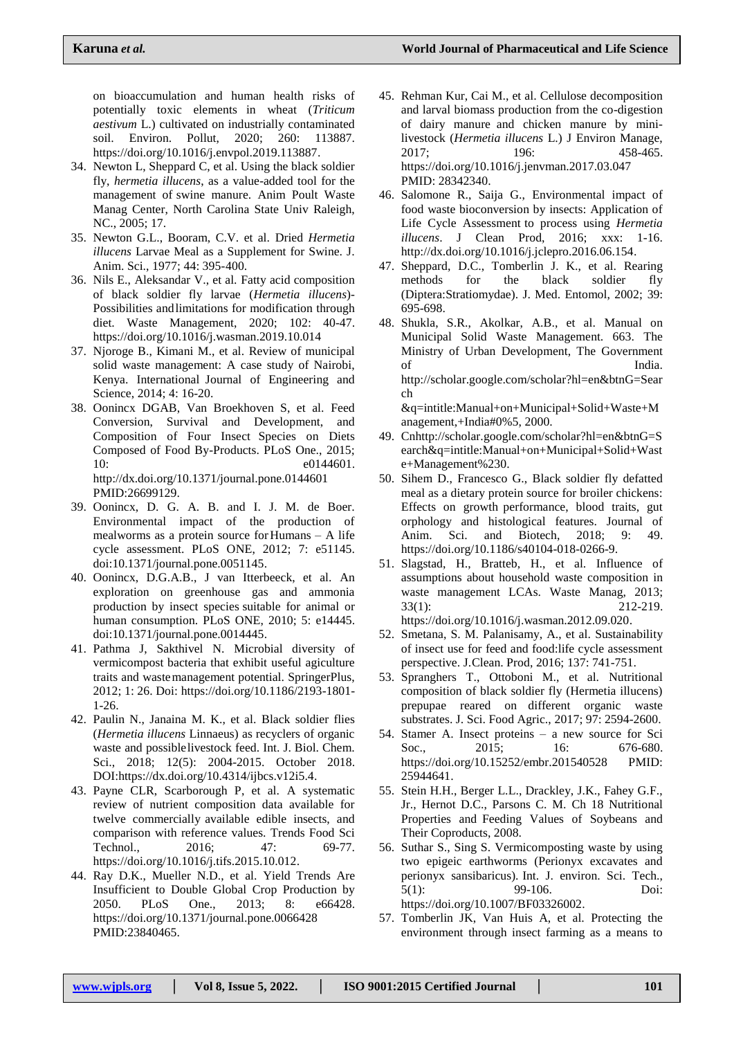on bioaccumulation and human health risks of potentially toxic elements in wheat (*Triticum aestivum* L.) cultivated on industrially contaminated soil. Environ. Pollut, 2020; 260: 113887. [https://doi.org/10.1016/j.envpol.2019.113887.](https://doi.org/10.1016/j.envpol.2019.113887)

- 34. Newton L, Sheppard C, et al. Using the black soldier fly, *hermetia illucens*, as a value-added tool for the management of swine manure. Anim Poult Waste Manag Center, North Carolina State Univ Raleigh, NC., 2005; 17.
- 35. Newton G.L., Booram, C.V. et al. Dried *Hermetia illucens* Larvae Meal as a Supplement for Swine. J. Anim. Sci., 1977; 44: 395-400.
- 36. Nils E., Aleksandar V., et al. Fatty acid composition of black soldier fly larvae (*Hermetia illucens*)- Possibilities andlimitations for modification through diet. Waste Management, 2020; 102: 40-47. <https://doi.org/10.1016/j.wasman.2019.10.014>
- 37. Njoroge B., Kimani M., et al. Review of municipal solid waste management: A case study of Nairobi, Kenya. International Journal of Engineering and Science, 2014; 4: 16-20.
- 38. Oonincx DGAB, Van Broekhoven S, et al. Feed Conversion, Survival and Development, and Composition of Four Insect Species on Diets Composed of Food By-Products. PLoS One., 2015; 10: e0144601. <http://dx.doi.org/10.1371/journal.pone.0144601> PMID:26699129.
- 39. Oonincx, D. G. A. B. and I. J. M. de Boer. Environmental impact of the production of mealworms as a protein source forHumans – A life cycle assessment. PLoS ONE, 2012; 7: e51145. doi:10.1371/journal.pone.0051145.
- 40. Oonincx, D.G.A.B., J van Itterbeeck, et al. An exploration on greenhouse gas and ammonia production by insect species suitable for animal or human consumption. PLoS ONE, 2010; 5: e14445. doi:10.1371/journal.pone.0014445.
- 41. Pathma J, Sakthivel N. Microbial diversity of vermicompost bacteria that exhibit useful agiculture traits and wastemanagement potential. SpringerPlus, 2012; 1: 26. Doi: [https://doi.org/10.1186/2193-1801-](https://doi.org/10.1186/2193-1801-1-26) [1-26.](https://doi.org/10.1186/2193-1801-1-26)
- 42. Paulin N., Janaina M. K., et al. Black soldier flies (*Hermetia illucens* Linnaeus) as recyclers of organic waste and possiblelivestock feed. Int. J. Biol. Chem. Sci., 2018; 12(5): 2004-2015. October 2018. DOI[:https://dx.doi.org/10.4314/ijbcs.v12i5.4.](https://dx.doi.org/10.4314/ijbcs.v12i5.4)
- 43. Payne CLR, Scarborough P, et al. A systematic review of nutrient composition data available for twelve commercially available edible insects, and comparison with reference values. Trends Food Sci Technol., 2016; 47: 69-77. [https://doi.org/10.1016/j.tifs.2015.10.012.](https://doi.org/10.1016/j.tifs.2015.10.012)
- 44. Ray D.K., Mueller N.D., et al. Yield Trends Are Insufficient to Double Global Crop Production by 2050. PLoS One., 2013; 8: e66428. https://doi.org/10.1371/journal.pone.0066428 PMID:23840465.
- 45. Rehman Kur, Cai M., et al. Cellulose decomposition and larval biomass production from the co-digestion of dairy manure and chicken manure by minilivestock (*Hermetia illucens* L.) J Environ Manage, 2017; 196: 458-465. https://doi.org/10.1016/j.jenvman.2017.03.047 PMID: 28342340.
- 46. Salomone R., Saija G., Environmental impact of food waste bioconversion by insects: Application of Life Cycle Assessment to process using *Hermetia illucens*. J Clean Prod, 2016; xxx: 1-16. [http://dx.doi.org/10.1016/j.jclepro.2016.06.154.](http://dx.doi.org/10.1016/j.jclepro.2016.06.154)
- 47. Sheppard, D.C., Tomberlin J. K., et al. Rearing methods for the black soldier fly (Diptera:Stratiomydae). J. Med. Entomol, 2002; 39: 695-698.
- 48. Shukla, S.R., Akolkar, A.B., et al. Manual on Municipal Solid Waste Management. 663. The Ministry of Urban Development, The Government of India. [http://scholar.google.com/scholar?hl=en&btnG=Sear](http://scholar.google.com/scholar?hl=en&btnG=Search&q=intitle%3AManual%2Bon%2BMunicipal%2BSolid%2BWaste%2BManagement%2C%2BIndia&0%255)

[ch](http://scholar.google.com/scholar?hl=en&btnG=Search&q=intitle%3AManual%2Bon%2BMunicipal%2BSolid%2BWaste%2BManagement%2C%2BIndia&0%255) [&q=intitle:Manual+on+Municipal+Solid+Waste+M](http://scholar.google.com/scholar?hl=en&btnG=Search&q=intitle%3AManual%2Bon%2BMunicipal%2BSolid%2BWaste%2BManagement%2C%2BIndia&0%255) [anagement,+India#0%5,](http://scholar.google.com/scholar?hl=en&btnG=Search&q=intitle%3AManual%2Bon%2BMunicipal%2BSolid%2BWaste%2BManagement%2C%2BIndia&0%255) 2000.

- 49. [Cnhttp://scholar.google.com/scholar?hl=en&btnG=S](http://scholar.google.com/scholar?hl=en&btnG=Search&q=intitle%3AManual%2Bon%2BMunicipal%2BSolid%2BWaste%2BManagement%230) [earch&q=intitle:Manual+on+Municipal+Solid+Wast](http://scholar.google.com/scholar?hl=en&btnG=Search&q=intitle%3AManual%2Bon%2BMunicipal%2BSolid%2BWaste%2BManagement%230) [e+Management%230.](http://scholar.google.com/scholar?hl=en&btnG=Search&q=intitle%3AManual%2Bon%2BMunicipal%2BSolid%2BWaste%2BManagement%230)
- 50. Sihem D., Francesco G., Black soldier fly defatted meal as a dietary protein source for broiler chickens: Effects on growth performance, blood traits, gut orphology and histological features. Journal of Anim. Sci. and Biotech, 2018; 9: 49. [https://doi.org/10.1186/s40104-018-0266-9.](https://doi.org/10.1186/s40104-018-0266-9)
- 51. Slagstad, H., Bratteb, H., et al. Influence of assumptions about household waste composition in waste management LCAs. Waste Manag, 2013; 33(1): 212-219. [https://doi.org/10.1016/j.wasman.2012.09.020.](https://doi.org/10.1016/j.wasman.2012.09.020)
- 52. Smetana, S. M. Palanisamy, A., et al. Sustainability of insect use for feed and food:life cycle assessment perspective. J.Clean. Prod, 2016; 137: 741-751.
- 53. Spranghers T., Ottoboni M., et al. Nutritional composition of black soldier fly (Hermetia illucens) prepupae reared on different organic waste substrates. J. Sci. Food Agric., 2017; 97: 2594-2600.
- 54. Stamer A. Insect proteins a new source for Sci Soc., 2015; 16: 676-680. https://doi.org/10.15252/embr.201540528 PMID: 25944641.
- 55. Stein H.H., Berger L.L., Drackley, J.K., Fahey G.F., Jr., Hernot D.C., Parsons C. M. Ch 18 Nutritional Properties and Feeding Values of Soybeans and Their Coproducts, 2008.
- 56. Suthar S., Sing S. Vermicomposting waste by using two epigeic earthworms (Perionyx excavates and perionyx sansibaricus). Int. J. environ. Sci. Tech., 5(1): 99-106. Doi: [https://doi.org/10.1007/BF03326002.](https://doi.org/10.1007/BF03326002)
- 57. Tomberlin JK, Van Huis A, et al. Protecting the environment through insect farming as a means to